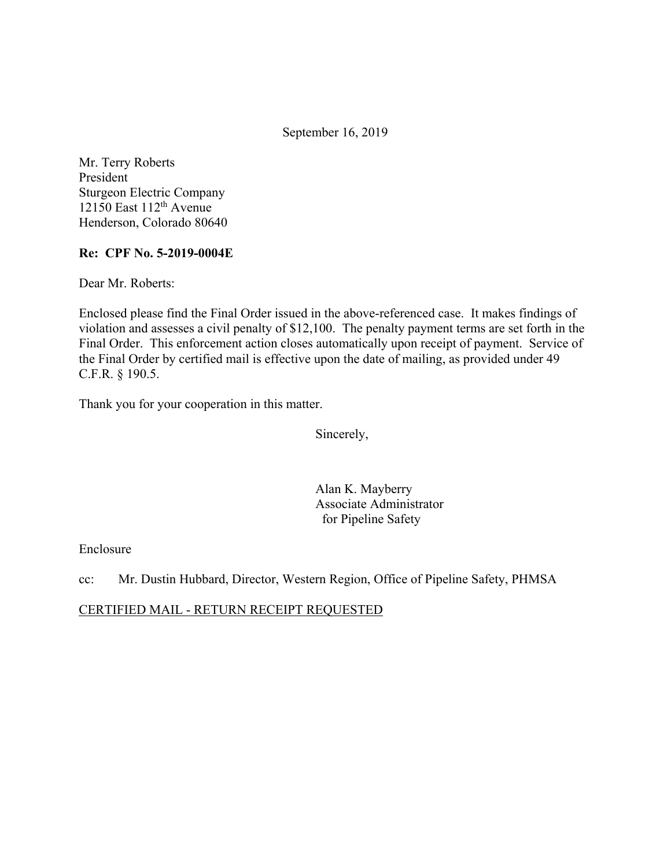September 16, 2019

Mr. Terry Roberts President Sturgeon Electric Company 12150 East  $112<sup>th</sup>$  Avenue Henderson, Colorado 80640

### **Re: CPF No. 5-2019-0004E**

Dear Mr. Roberts:

Enclosed please find the Final Order issued in the above-referenced case. It makes findings of violation and assesses a civil penalty of \$12,100. The penalty payment terms are set forth in the Final Order. This enforcement action closes automatically upon receipt of payment. Service of the Final Order by certified mail is effective upon the date of mailing, as provided under 49 C.F.R. § 190.5.

Thank you for your cooperation in this matter.

Sincerely,

Alan K. Mayberry Associate Administrator for Pipeline Safety

Enclosure

cc: Mr. Dustin Hubbard, Director, Western Region, Office of Pipeline Safety, PHMSA

CERTIFIED MAIL - RETURN RECEIPT REQUESTED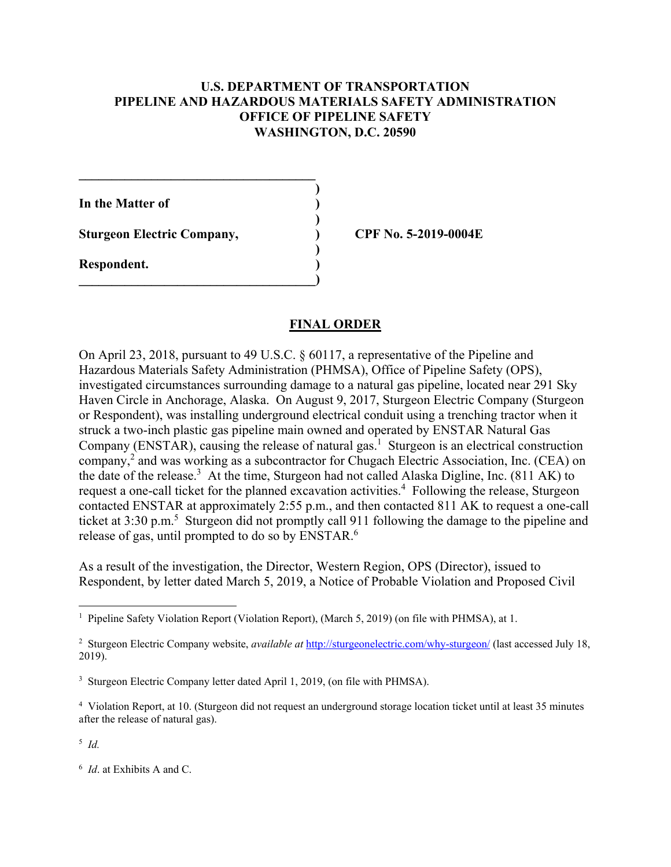### **U.S. DEPARTMENT OF TRANSPORTATION PIPELINE AND HAZARDOUS MATERIALS SAFETY ADMINISTRATION OFFICE OF PIPELINE SAFETY WASHINGTON, D.C. 20590**

**)**

 **)**

 **)**

**In the Matter of )**

**Sturgeon Electric Company, ) CPF No. 5-2019-0004E**

**\_\_\_\_\_\_\_\_\_\_\_\_\_\_\_\_\_\_\_\_\_\_\_\_\_\_\_\_\_\_\_\_\_\_\_\_** 

 $\overline{\phantom{a}}$ 

**Respondent. )** 

## **FINAL ORDER**

On April 23, 2018, pursuant to 49 U.S.C. § 60117, a representative of the Pipeline and Hazardous Materials Safety Administration (PHMSA), Office of Pipeline Safety (OPS), investigated circumstances surrounding damage to a natural gas pipeline, located near 291 Sky Haven Circle in Anchorage, Alaska. On August 9, 2017, Sturgeon Electric Company (Sturgeon or Respondent), was installing underground electrical conduit using a trenching tractor when it struck a two-inch plastic gas pipeline main owned and operated by ENSTAR Natural Gas Company (ENSTAR), causing the release of natural gas.<sup>1</sup> Sturgeon is an electrical construction company,<sup>2</sup> and was working as a subcontractor for Chugach Electric Association, Inc. (CEA) on the date of the release.<sup>3</sup> At the time, Sturgeon had not called Alaska Digline, Inc. (811 AK) to request a one-call ticket for the planned excavation activities.<sup>4</sup> Following the release, Sturgeon contacted ENSTAR at approximately 2:55 p.m., and then contacted 811 AK to request a one-call ticket at 3:30 p.m.<sup>5</sup> Sturgeon did not promptly call 911 following the damage to the pipeline and release of gas, until prompted to do so by ENSTAR.<sup>6</sup>

As a result of the investigation, the Director, Western Region, OPS (Director), issued to Respondent, by letter dated March 5, 2019, a Notice of Probable Violation and Proposed Civil

<sup>5</sup> *Id.* 

 1 Pipeline Safety Violation Report (Violation Report), (March 5, 2019) (on file with PHMSA), at 1.

<sup>&</sup>lt;sup>2</sup> Sturgeon Electric Company website, *available at* [http://sturgeonelectric.com/why-sturgeon/](http://sturgeonelectric.com/why-sturgeon) (last accessed July 18, 2019).

<sup>&</sup>lt;sup>3</sup> Sturgeon Electric Company letter dated April 1, 2019, (on file with PHMSA).

 4 Violation Report, at 10. (Sturgeon did not request an underground storage location ticket until at least 35 minutes after the release of natural gas).

 <sup>6</sup> *Id*. at Exhibits A and C.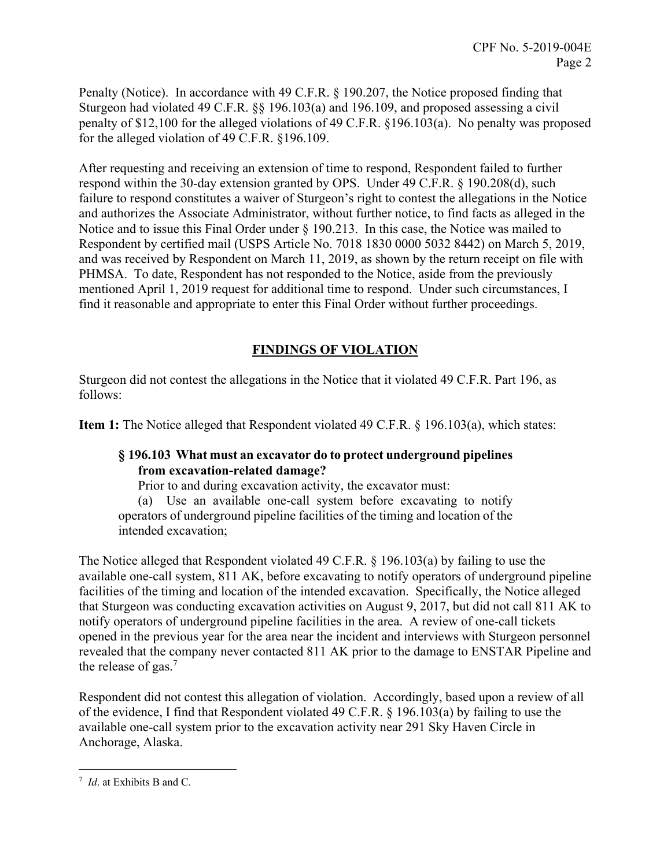Penalty (Notice). In accordance with 49 C.F.R. § 190.207, the Notice proposed finding that Sturgeon had violated 49 C.F.R. §§ 196.103(a) and 196.109, and proposed assessing a civil penalty of \$12,100 for the alleged violations of 49 C.F.R. §196.103(a). No penalty was proposed for the alleged violation of 49 C.F.R. §196.109.

After requesting and receiving an extension of time to respond, Respondent failed to further respond within the 30-day extension granted by OPS. Under 49 C.F.R. § 190.208(d), such failure to respond constitutes a waiver of Sturgeon's right to contest the allegations in the Notice and authorizes the Associate Administrator, without further notice, to find facts as alleged in the Notice and to issue this Final Order under § 190.213. In this case, the Notice was mailed to Respondent by certified mail (USPS Article No. 7018 1830 0000 5032 8442) on March 5, 2019, and was received by Respondent on March 11, 2019, as shown by the return receipt on file with PHMSA. To date, Respondent has not responded to the Notice, aside from the previously mentioned April 1, 2019 request for additional time to respond. Under such circumstances, I find it reasonable and appropriate to enter this Final Order without further proceedings.

# **FINDINGS OF VIOLATION**

Sturgeon did not contest the allegations in the Notice that it violated 49 C.F.R. Part 196, as follows:

**Item 1:** The Notice alleged that Respondent violated 49 C.F.R. § 196.103(a), which states:

### **§ 196.103 What must an excavator do to protect underground pipelines from excavation-related damage?**

Prior to and during excavation activity, the excavator must:

(a) Use an available one-call system before excavating to notify operators of underground pipeline facilities of the timing and location of the intended excavation;

The Notice alleged that Respondent violated 49 C.F.R. § 196.103(a) by failing to use the available one-call system, 811 AK, before excavating to notify operators of underground pipeline facilities of the timing and location of the intended excavation. Specifically, the Notice alleged that Sturgeon was conducting excavation activities on August 9, 2017, but did not call 811 AK to notify operators of underground pipeline facilities in the area. A review of one-call tickets opened in the previous year for the area near the incident and interviews with Sturgeon personnel revealed that the company never contacted 811 AK prior to the damage to ENSTAR Pipeline and the release of gas.<sup>7</sup>

Respondent did not contest this allegation of violation. Accordingly, based upon a review of all of the evidence, I find that Respondent violated 49 C.F.R. § 196.103(a) by failing to use the available one-call system prior to the excavation activity near 291 Sky Haven Circle in Anchorage, Alaska.

 $\overline{a}$ <sup>7</sup> *Id*. at Exhibits B and C.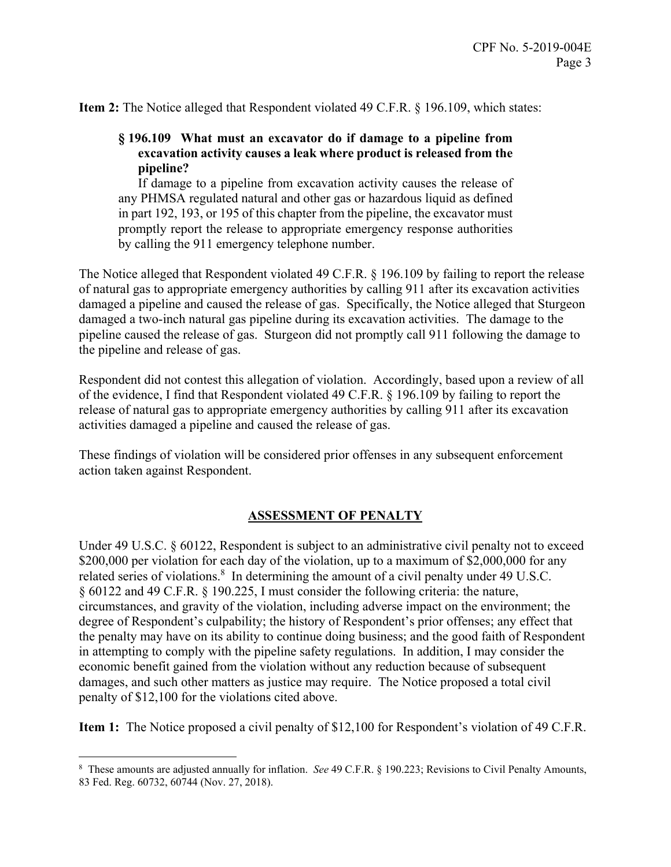**Item 2:** The Notice alleged that Respondent violated 49 C.F.R. § 196.109, which states:

### **§ 196.109 What must an excavator do if damage to a pipeline from excavation activity causes a leak where product is released from the pipeline?**

 in part 192, 193, or 195 of this chapter from the pipeline, the excavator must If damage to a pipeline from excavation activity causes the release of any PHMSA regulated natural and other gas or hazardous liquid as defined promptly report the release to appropriate emergency response authorities by calling the 911 emergency telephone number.

The Notice alleged that Respondent violated 49 C.F.R. § 196.109 by failing to report the release of natural gas to appropriate emergency authorities by calling 911 after its excavation activities damaged a pipeline and caused the release of gas. Specifically, the Notice alleged that Sturgeon damaged a two-inch natural gas pipeline during its excavation activities. The damage to the pipeline caused the release of gas. Sturgeon did not promptly call 911 following the damage to the pipeline and release of gas.

Respondent did not contest this allegation of violation. Accordingly, based upon a review of all of the evidence, I find that Respondent violated 49 C.F.R. § 196.109 by failing to report the release of natural gas to appropriate emergency authorities by calling 911 after its excavation activities damaged a pipeline and caused the release of gas.

These findings of violation will be considered prior offenses in any subsequent enforcement action taken against Respondent.

### **ASSESSMENT OF PENALTY**

Under 49 U.S.C. § 60122, Respondent is subject to an administrative civil penalty not to exceed \$200,000 per violation for each day of the violation, up to a maximum of \$2,000,000 for any related series of violations. $8\,$  In determining the amount of a civil penalty under 49 U.S.C. § 60122 and 49 C.F.R. § 190.225, I must consider the following criteria: the nature, circumstances, and gravity of the violation, including adverse impact on the environment; the degree of Respondent's culpability; the history of Respondent's prior offenses; any effect that the penalty may have on its ability to continue doing business; and the good faith of Respondent in attempting to comply with the pipeline safety regulations. In addition, I may consider the economic benefit gained from the violation without any reduction because of subsequent damages, and such other matters as justice may require. The Notice proposed a total civil penalty of \$12,100 for the violations cited above.

**Item 1:** The Notice proposed a civil penalty of \$12,100 for Respondent's violation of 49 C.F.R.

 $\overline{a}$ 

<sup>8</sup> These amounts are adjusted annually for inflation. *See* 49 C.F.R. § 190.223; Revisions to Civil Penalty Amounts, 83 Fed. Reg. 60732, 60744 (Nov. 27, 2018).